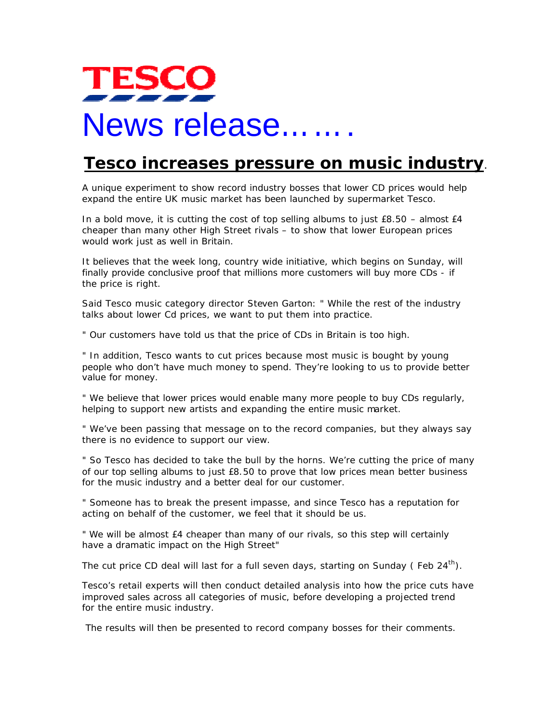## **TESCC** News release…….

## **Tesco increases pressure on music industry**.

A unique experiment to show record industry bosses that lower CD prices would help expand the entire UK music market has been launched by supermarket Tesco.

In a bold move, it is cutting the cost of top selling albums to just  $E8.50 -$  almost  $E4$ cheaper than many other High Street rivals – to show that lower European prices would work just as well in Britain.

It believes that the week long, country wide initiative, which begins on Sunday, will finally provide conclusive proof that millions more customers will buy more CDs - if the price is right.

Said Tesco music category director Steven Garton: " While the rest of the industry talks about lower Cd prices, we want to put them into practice.

" Our customers have told us that the price of CDs in Britain is too high.

" In addition, Tesco wants to cut prices because most music is bought by young people who don't have much money to spend. They're looking to us to provide better value for money.

" We believe that lower prices would enable many more people to buy CDs regularly, helping to support new artists and expanding the entire music market.

" We've been passing that message on to the record companies, but they always say there is no evidence to support our view.

" So Tesco has decided to take the bull by the horns. We're cutting the price of many of our top selling albums to just £8.50 to prove that low prices mean better business for the music industry and a better deal for our customer.

" Someone has to break the present impasse, and since Tesco has a reputation for acting on behalf of the customer, we feel that it should be us.

" We will be almost £4 cheaper than many of our rivals, so this step will certainly have a dramatic impact on the High Street"

The cut price CD deal will last for a full seven days, starting on Sunday (Feb  $24<sup>th</sup>$ ).

Tesco's retail experts will then conduct detailed analysis into how the price cuts have improved sales across all categories of music, before developing a projected trend for the entire music industry.

The results will then be presented to record company bosses for their comments.